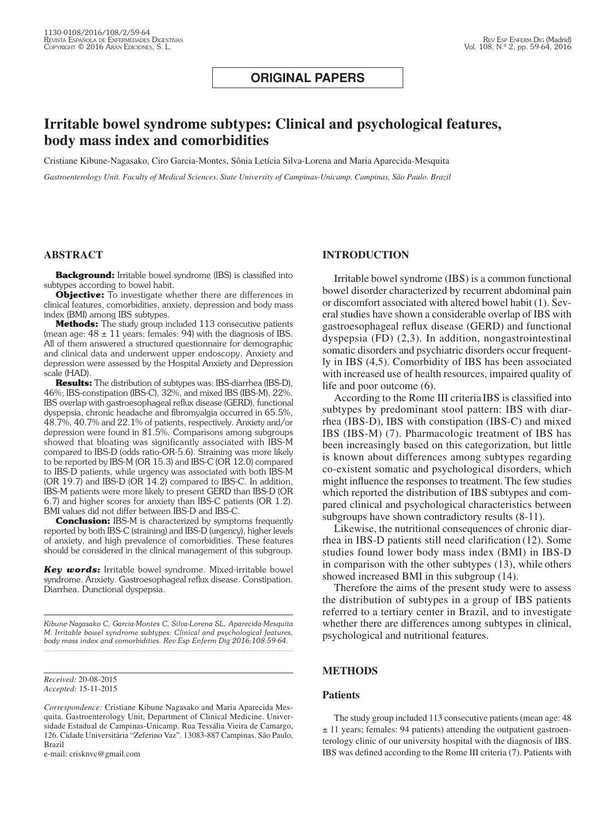# **ORIGINAL PAPERS**

# **Irritable bowel syndrome subtypes: Clinical and psychological features, body mass index and comorbidities**

Cristiane Kibune-Nagasako, Ciro Garcia-Montes, Sônia Letícia Silva-Lorena and Maria Aparecida-Mesquita

*Gastroenterology Unit. Faculty of Medical Sciences. State University of Campinas-Unicamp. Campinas, São Paulo. Brazil*

# **ABSTRACT**

**Background:** Irritable bowel syndrome (IBS) is classified into subtypes according to bowel habit.

**Objective:** To investigate whether there are differences in clinical features, comorbidities, anxiety, depression and body mass index (BMI) among IBS subtypes.

**Methods:** The study group included 113 consecutive patients (mean age:  $48 \pm 11$  years; females: 94) with the diagnosis of IBS. All of them answered a structured questionnaire for demographic and clinical data and underwent upper endoscopy. Anxiety and depression were assessed by the Hospital Anxiety and Depression scale (HAD).

**Results:** The distribution of subtypes was: IBS-diarrhea (IBS-D), 46%; IBS-constipation (IBS-C), 32%, and mixed IBS (IBS-M), 22%. IBS overlap with gastroesophageal reflux disease (GERD), functional dyspepsia, chronic headache and fibromyalgia occurred in 65.5%, 48.7%, 40.7% and 22.1% of patients, respectively. Anxiety and/or depression were found in 81.5%. Comparisons among subgroups showed that bloating was significantly associated with IBS-M compared to IBS-D (odds ratio-OR-5.6). Straining was more likely to be reported by IBS-M (OR 15.3) and IBS-C (OR 12.0) compared to IBS-D patients, while urgency was associated with both IBS-M (OR 19.7) and IBS-D (OR 14.2) compared to IBS-C. In addition, IBS-M patients were more likely to present GERD than IBS-D (OR 6.7) and higher scores for anxiety than IBS-C patients (OR 1.2). BMI values did not differ between IBS-D and IBS-C.

**Conclusion:** IBS-M is characterized by symptoms frequently reported by both IBS-C (straining) and IBS-D (urgency), higher levels of anxiety, and high prevalence of comorbidities. These features should be considered in the clinical management of this subgroup.

*Key words:* Irritable bowel syndrome. Mixed-irritable bowel syndrome. Anxiety. Gastroesophageal reflux disease. Constipation. Diarrhea. Dunctional dyspepsia.

*Kibune-Nagasako C, Garcia-Montes C, Silva-Lorena SL, Aparecida-Mesquita M. Irritable bowel syndrome subtypes: Clinical and psychological features, body mass index and comorbidities. Rev Esp Enferm Dig 2016;108:59-64.*

*Received:* 20-08-2015 *Accepted:* 15-11-2015

*Correspondence:* Cristiane Kibune Nagasako and Maria Aparecida Mesquita. Gastroenterology Unit, Department of Clinical Medicine. Universidade Estadual de Campinas-Unicamp. Rua Tessália Vieira de Camargo, 126. Cidade Universitária "Zeferino Vaz". 13083-887 Campinas. São Paulo, Brazil

e-mail: crisknvc@gmail.com

# **INTRODUCTION**

Irritable bowel syndrome (IBS) is a common functional bowel disorder characterized by recurrent abdominal pain or discomfort associated with altered bowel habit (1). Several studies have shown a considerable overlap of IBS with gastroesophageal reflux disease (GERD) and functional dyspepsia (FD) (2,3). In addition, nongastrointestinal somatic disorders and psychiatric disorders occur frequently in IBS (4,5). Comorbidity of IBS has been associated with increased use of health resources, impaired quality of life and poor outcome (6).

According to the Rome III criteria IBS is classified into subtypes by predominant stool pattern: IBS with diarrhea (IBS-D), IBS with constipation (IBS-C) and mixed IBS (IBS-M) (7). Pharmacologic treatment of IBS has been increasingly based on this categorization, but little is known about differences among subtypes regarding co-existent somatic and psychological disorders, which might influence the responses to treatment. The few studies which reported the distribution of IBS subtypes and compared clinical and psychological characteristics between subgroups have shown contradictory results (8-11).

Likewise, the nutritional consequences of chronic diarrhea in IBS-D patients still need clarification (12). Some studies found lower body mass index (BMI) in IBS-D in comparison with the other subtypes (13), while others showed increased BMI in this subgroup (14).

Therefore the aims of the present study were to assess the distribution of subtypes in a group of IBS patients referred to a tertiary center in Brazil, and to investigate whether there are differences among subtypes in clinical, psychological and nutritional features.

# **METHODS**

## **Patients**

The study group included 113 consecutive patients (mean age: 48 ± 11 years; females: 94 patients) attending the outpatient gastroenterology clinic of our university hospital with the diagnosis of IBS. IBS was defined according to the Rome III criteria (7). Patients with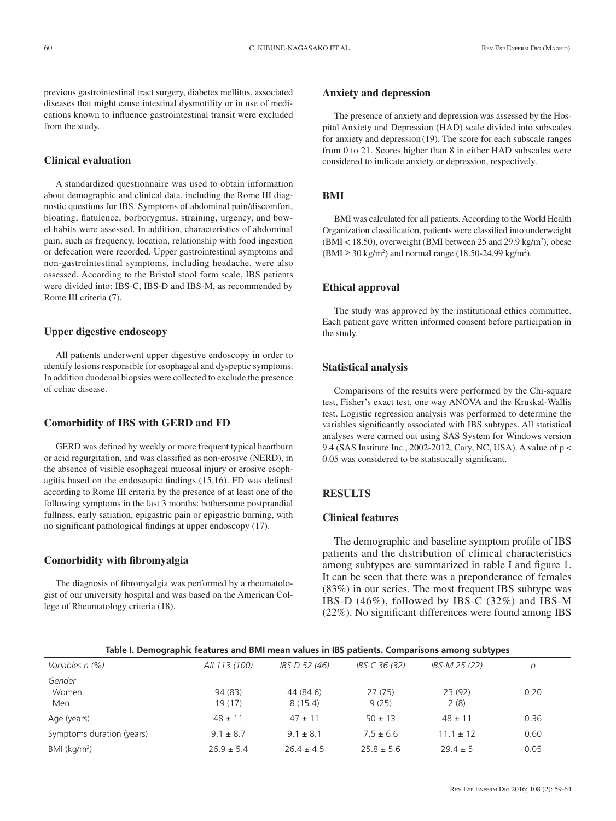previous gastrointestinal tract surgery, diabetes mellitus, associated diseases that might cause intestinal dysmotility or in use of medications known to influence gastrointestinal transit were excluded from the study.

## **Clinical evaluation**

A standardized questionnaire was used to obtain information about demographic and clinical data, including the Rome III diagnostic questions for IBS. Symptoms of abdominal pain/discomfort, bloating, flatulence, borborygmus, straining, urgency, and bowel habits were assessed. In addition, characteristics of abdominal pain, such as frequency, location, relationship with food ingestion or defecation were recorded. Upper gastrointestinal symptoms and non-gastrointestinal symptoms, including headache, were also assessed. According to the Bristol stool form scale, IBS patients were divided into: IBS-C, IBS-D and IBS-M, as recommended by Rome III criteria (7).

## **Upper digestive endoscopy**

All patients underwent upper digestive endoscopy in order to identify lesions responsible for esophageal and dyspeptic symptoms. In addition duodenal biopsies were collected to exclude the presence of celiac disease.

#### **Comorbidity of IBS with GERD and FD**

GERD was defined by weekly or more frequent typical heartburn or acid regurgitation, and was classified as non-erosive (NERD), in the absence of visible esophageal mucosal injury or erosive esophagitis based on the endoscopic findings (15,16). FD was defined according to Rome III criteria by the presence of at least one of the following symptoms in the last 3 months: bothersome postprandial fullness, early satiation, epigastric pain or epigastric burning, with no significant pathological findings at upper endoscopy (17).

#### **Comorbidity with fibromyalgia**

The diagnosis of fibromyalgia was performed by a rheumatologist of our university hospital and was based on the American College of Rheumatology criteria (18).

## **Anxiety and depression**

The presence of anxiety and depression was assessed by the Hospital Anxiety and Depression (HAD) scale divided into subscales for anxiety and depression (19). The score for each subscale ranges from 0 to 21. Scores higher than 8 in either HAD subscales were considered to indicate anxiety or depression, respectively.

## **BMI**

BMI was calculated for all patients. According to the World Health Organization classification, patients were classified into underweight  $(BMI < 18.50)$ , overweight (BMI between 25 and 29.9 kg/m<sup>2</sup>), obese (BMI ≥ 30 kg/m<sup>2</sup>) and normal range (18.50-24.99 kg/m<sup>2</sup>).

## **Ethical approval**

The study was approved by the institutional ethics committee. Each patient gave written informed consent before participation in the study.

## **Statistical analysis**

Comparisons of the results were performed by the Chi-square test, Fisher's exact test, one way ANOVA and the Kruskal-Wallis test. Logistic regression analysis was performed to determine the variables significantly associated with IBS subtypes. All statistical analyses were carried out using SAS System for Windows version 9.4 (SAS Institute Inc., 2002-2012, Cary, NC, USA). A value of p < 0.05 was considered to be statistically significant.

# **RESULTS**

# **Clinical features**

The demographic and baseline symptom profile of IBS patients and the distribution of clinical characteristics among subtypes are summarized in table I and figure 1. It can be seen that there was a preponderance of females (83%) in our series. The most frequent IBS subtype was IBS-D (46%), followed by IBS-C (32%) and IBS-M (22%). No significant differences were found among IBS

| Table I. Demographic features and BMI mean values in IBS patients. Comparisons among subtypes |  |  |
|-----------------------------------------------------------------------------------------------|--|--|
|                                                                                               |  |  |

| Variables n (%)           | All 113 (100)  | IBS-D 52 (46)  | IBS-C 36 (32)  | IBS-M 25 (22) | D    |
|---------------------------|----------------|----------------|----------------|---------------|------|
| Gender                    |                |                |                |               |      |
| Women                     | 94 (83)        | 44 (84.6)      | 27(75)         | 23(92)        | 0.20 |
| Men                       | 19 (17)        | 8(15.4)        | 9(25)          | 2(8)          |      |
| Age (years)               | $48 \pm 11$    | $47 + 11$      | $50 \pm 13$    | $48 \pm 11$   | 0.36 |
| Symptoms duration (years) | $9.1 \pm 8.7$  | $9.1 \pm 8.1$  | $7.5 \pm 6.6$  | $11.1 \pm 12$ | 0.60 |
| BMI (kg/m <sup>2</sup> )  | $26.9 \pm 5.4$ | $26.4 \pm 4.5$ | $25.8 \pm 5.6$ | $29.4 \pm 5$  | 0.05 |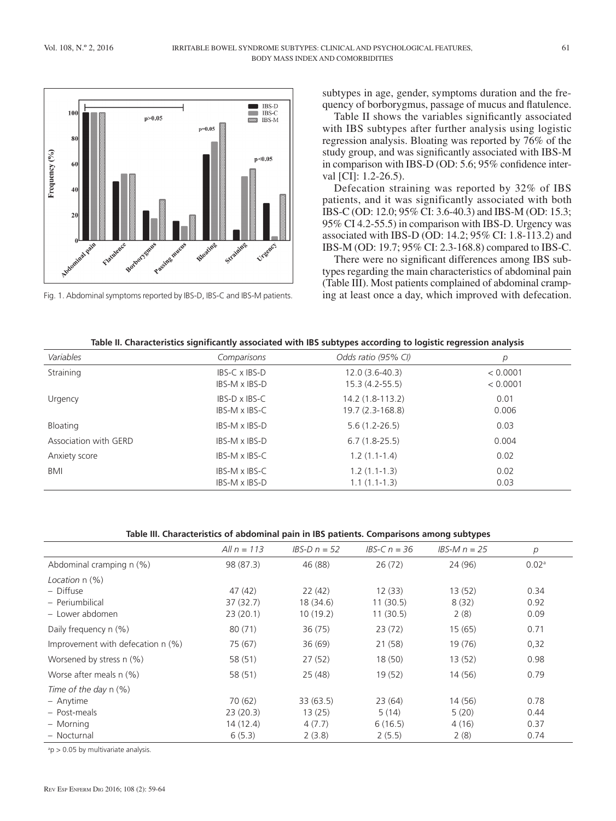

subtypes in age, gender, symptoms duration and the frequency of borborygmus, passage of mucus and flatulence.

Table II shows the variables significantly associated with IBS subtypes after further analysis using logistic regression analysis. Bloating was reported by 76% of the study group, and was significantly associated with IBS-M in comparison with IBS-D (OD: 5.6; 95% confidence interval [CI]: 1.2-26.5).

Defecation straining was reported by 32% of IBS patients, and it was significantly associated with both IBS-C (OD: 12.0; 95% CI: 3.6-40.3) and IBS-M (OD: 15.3; 95% CI 4.2-55.5) in comparison with IBS-D. Urgency was associated with IBS-D (OD: 14.2; 95% CI: 1.8-113.2) and IBS-M (OD: 19.7; 95% CI: 2.3-168.8) compared to IBS-C.

There were no significant differences among IBS subtypes regarding the main characteristics of abdominal pain (Table III). Most patients complained of abdominal cramp-Fig. 1. Abdominal symptoms reported by IBS-D, IBS-C and IBS-M patients. ing at least once a day, which improved with defecation.

# **Table II. Characteristics significantly associated with IBS subtypes according to logistic regression analysis**

| Variables             | Comparisons          | Odds ratio (95% CI) | р        |
|-----------------------|----------------------|---------------------|----------|
| Straining             | IBS-C x IBS-D        | $12.0(3.6-40.3)$    | < 0.0001 |
|                       | IBS-M x IBS-D        | $15.3(4.2-55.5)$    | < 0.0001 |
| Urgency               | $IBS-D \times IBS-C$ | 14.2 (1.8-113.2)    | 0.01     |
|                       | IBS-M x IBS-C        | 19.7 (2.3-168.8)    | 0.006    |
| Bloating              | IBS-M x IBS-D        | $5.6(1.2 - 26.5)$   | 0.03     |
| Association with GERD | IBS-M x IBS-D        | $6.7(1.8-25.5)$     | 0.004    |
| Anxiety score         | IBS-M x IBS-C        | $1.2(1.1-1.4)$      | 0.02     |
| <b>BMI</b>            | IBS-M x IBS-C        | $1.2(1.1-1.3)$      | 0.02     |
|                       | IBS-M x IBS-D        | $1.1(1.1-1.3)$      | 0.03     |

## **Table III. Characteristics of abdominal pain in IBS patients. Comparisons among subtypes**

|                                                     | All $n = 113$      | $IBS-D n = 52$      | <i>IBS-C <math>n = 36</math></i> | IBS-M $n = 25$  | p                 |
|-----------------------------------------------------|--------------------|---------------------|----------------------------------|-----------------|-------------------|
| Abdominal cramping n (%)                            | 98 (87.3)          | 46 (88)             | 26(72)                           | 24 (96)         | 0.02 <sup>a</sup> |
| Location $n$ $(\%)$<br>- Diffuse<br>- Periumbilical | 47(42)<br>37(32.7) | 22(42)<br>18 (34.6) | 12(33)<br>11(30.5)               | 13(52)<br>8(32) | 0.34<br>0.92      |
| - Lower abdomen                                     | 23(20.1)           | 10(19.2)            | 11(30.5)                         | 2(8)            | 0.09              |
| Daily frequency n (%)                               | 80(71)             | 36(75)              | 23(72)                           | 15(65)          | 0.71              |
| Improvement with defecation $n$ (%)                 | 75 (67)            | 36(69)              | 21 (58)                          | 19 (76)         | 0,32              |
| Worsened by stress n (%)                            | 58 (51)            | 27(52)              | 18 (50)                          | 13(52)          | 0.98              |
| Worse after meals n (%)                             | 58 (51)            | 25(48)              | 19(52)                           | 14 (56)         | 0.79              |
| Time of the day $n$ (%)<br>- Anytime                | 70(62)             | 33 (63.5)           | 23(64)                           | 14 (56)         | 0.78              |
| - Post-meals                                        | 23(20.3)           | 13(25)              | 5(14)                            | 5(20)           | 0.44              |
| - Morning<br>- Nocturnal                            | 14(12.4)<br>6(5.3) | 4(7.7)<br>2(3.8)    | 6(16.5)<br>2(5.5)                | 4(16)<br>2(8)   | 0.37<br>0.74      |

a p > 0.05 by multivariate analysis.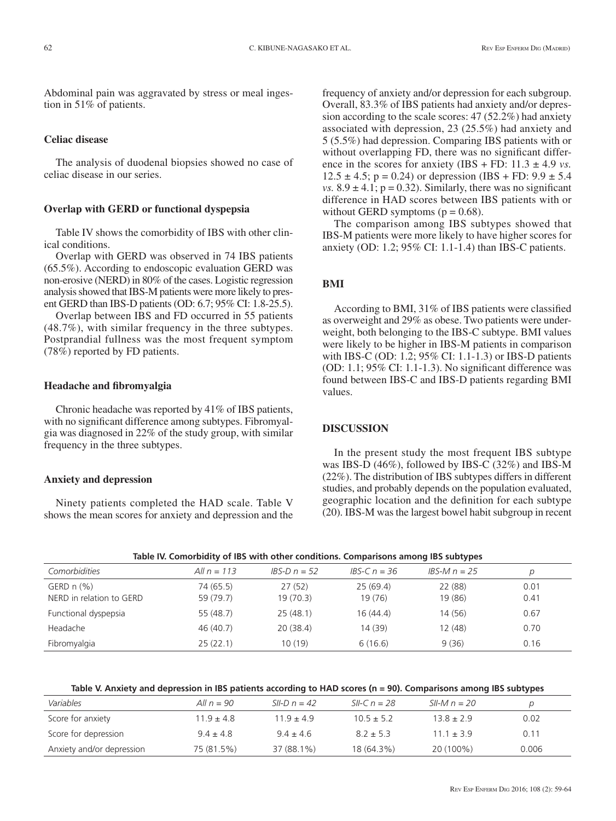Abdominal pain was aggravated by stress or meal ingestion in 51% of patients.

#### **Celiac disease**

The analysis of duodenal biopsies showed no case of celiac disease in our series.

## **Overlap with GERD or functional dyspepsia**

Table IV shows the comorbidity of IBS with other clinical conditions.

Overlap with GERD was observed in 74 IBS patients (65.5%). According to endoscopic evaluation GERD was non-erosive (NERD) in 80% of the cases. Logistic regression analysis showed that IBS-M patients were more likely to present GERD than IBS-D patients (OD: 6.7; 95% CI: 1.8-25.5).

Overlap between IBS and FD occurred in 55 patients (48.7%), with similar frequency in the three subtypes. Postprandial fullness was the most frequent symptom (78%) reported by FD patients.

#### **Headache and fibromyalgia**

Chronic headache was reported by 41% of IBS patients, with no significant difference among subtypes. Fibromyalgia was diagnosed in 22% of the study group, with similar frequency in the three subtypes.

## **Anxiety and depression**

Ninety patients completed the HAD scale. Table V shows the mean scores for anxiety and depression and the frequency of anxiety and/or depression for each subgroup. Overall, 83.3% of IBS patients had anxiety and/or depression according to the scale scores: 47 (52.2%) had anxiety associated with depression, 23 (25.5%) had anxiety and 5 (5.5%) had depression. Comparing IBS patients with or without overlapping FD, there was no significant difference in the scores for anxiety (IBS + FD:  $11.3 \pm 4.9$  *vs.*  $12.5 \pm 4.5$ ; p = 0.24) or depression (IBS + FD:  $9.9 \pm 5.4$ *vs.*  $8.9 \pm 4.1$ ;  $p = 0.32$ ). Similarly, there was no significant difference in HAD scores between IBS patients with or without GERD symptoms  $(p = 0.68)$ .

The comparison among IBS subtypes showed that IBS-M patients were more likely to have higher scores for anxiety (OD: 1.2; 95% CI: 1.1-1.4) than IBS-C patients.

# **BMI**

According to BMI, 31% of IBS patients were classified as overweight and 29% as obese. Two patients were underweight, both belonging to the IBS-C subtype. BMI values were likely to be higher in IBS-M patients in comparison with IBS-C (OD: 1.2; 95% CI: 1.1-1.3) or IBS-D patients (OD: 1.1; 95% CI: 1.1-1.3). No significant difference was found between IBS-C and IBS-D patients regarding BMI values.

#### **DISCUSSION**

In the present study the most frequent IBS subtype was IBS-D (46%), followed by IBS-C (32%) and IBS-M (22%). The distribution of IBS subtypes differs in different studies, and probably depends on the population evaluated, geographic location and the definition for each subtype (20). IBS-M was the largest bowel habit subgroup in recent

| Table IV. Comorbidity of IBS with other conditions. Comparisons among IBS subtypes |               |                |                                  |                                  |      |  |
|------------------------------------------------------------------------------------|---------------|----------------|----------------------------------|----------------------------------|------|--|
| Comorbidities                                                                      | All $n = 113$ | $IBS-D n = 52$ | <i>IBS-C <math>n = 36</math></i> | <i>IBS-M <math>n = 25</math></i> |      |  |
| GERD $n$ $%$                                                                       | 74 (65.5)     | 27(52)         | 25(69.4)                         | 22 (88)                          | 0.01 |  |
| NERD in relation to GERD                                                           | 59 (79.7)     | 19(70.3)       | 19(76)                           | 19 (86)                          | 0.41 |  |
| Functional dyspepsia                                                               | 55 (48.7)     | 25(48.1)       | 16(44.4)                         | 14(56)                           | 0.67 |  |
| Headache                                                                           | 46 (40.7)     | 20(38.4)       | 14 (39)                          | 12 (48)                          | 0.70 |  |
| Fibromyalgia                                                                       | 25(22.1)      | 10 (19)        | 6(16.6)                          | 9(36)                            | 0.16 |  |

|  | Table IV. Comorbidity of IBS with other conditions. Comparisons among IBS subtypes |  |  |  |  |
|--|------------------------------------------------------------------------------------|--|--|--|--|
|--|------------------------------------------------------------------------------------|--|--|--|--|

**Table V. Anxiety and depression in IBS patients according to HAD scores (n = 90). Comparisons among IBS subtypes**

| Variables                 | All $n = 90$   | SII-D $n = 42$ | SII-C $n = 28$ | SII-M $n = 20$ |       |
|---------------------------|----------------|----------------|----------------|----------------|-------|
| Score for anxiety         | $11.9 \pm 4.8$ | $119 + 49$     | $10.5 \pm 5.2$ | $13.8 \pm 2.9$ | 0.02  |
| Score for depression      | $9.4 \pm 4.8$  | $94 + 46$      | $87 + 53$      | $111 + 39$     | 0.11  |
| Anxiety and/or depression | 75 (81.5%)     | 37 (88.1%)     | 18 (64.3%)     | 20 (100%)      | 0.006 |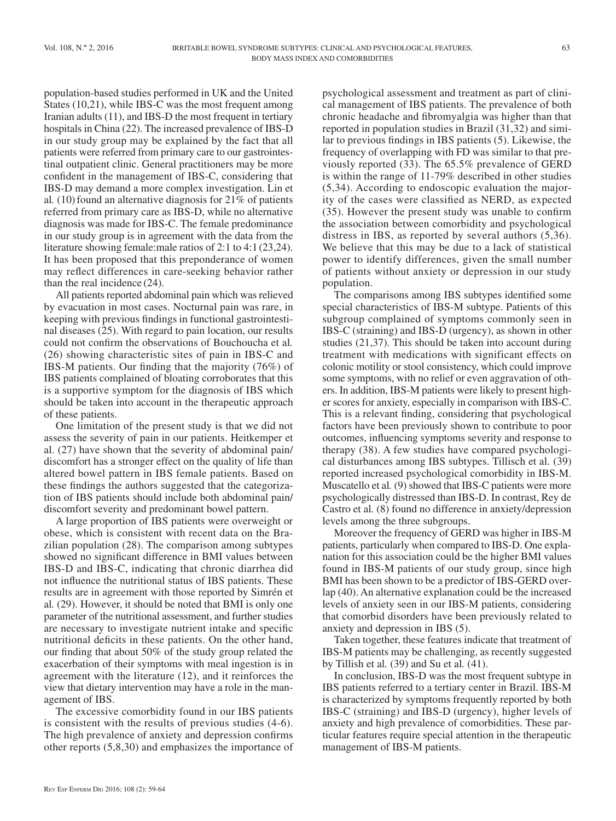population-based studies performed in UK and the United States (10,21), while IBS-C was the most frequent among Iranian adults (11), and IBS-D the most frequent in tertiary hospitals in China (22). The increased prevalence of IBS-D in our study group may be explained by the fact that all patients were referred from primary care to our gastrointestinal outpatient clinic. General practitioners may be more confident in the management of IBS-C, considering that IBS-D may demand a more complex investigation. Lin et al*.* (10)found an alternative diagnosis for 21% of patients referred from primary care as IBS-D, while no alternative diagnosis was made for IBS-C. The female predominance in our study group is in agreement with the data from the literature showing female:male ratios of 2:1 to 4:1 (23,24). It has been proposed that this preponderance of women may reflect differences in care-seeking behavior rather than the real incidence (24).

All patients reported abdominal pain which was relieved by evacuation in most cases. Nocturnal pain was rare, in keeping with previous findings in functional gastrointestinal diseases (25). With regard to pain location, our results could not confirm the observations of Bouchoucha et al*.* (26) showing characteristic sites of pain in IBS-C and IBS-M patients. Our finding that the majority (76%) of IBS patients complained of bloating corroborates that this is a supportive symptom for the diagnosis of IBS which should be taken into account in the therapeutic approach of these patients.

One limitation of the present study is that we did not assess the severity of pain in our patients. Heitkemper et al. (27) have shown that the severity of abdominal pain/ discomfort has a stronger effect on the quality of life than altered bowel pattern in IBS female patients. Based on these findings the authors suggested that the categorization of IBS patients should include both abdominal pain/ discomfort severity and predominant bowel pattern.

A large proportion of IBS patients were overweight or obese, which is consistent with recent data on the Brazilian population (28). The comparison among subtypes showed no significant difference in BMI values between IBS-D and IBS-C, indicating that chronic diarrhea did not influence the nutritional status of IBS patients. These results are in agreement with those reported by Simrén et al*.* (29). However, it should be noted that BMI is only one parameter of the nutritional assessment, and further studies are necessary to investigate nutrient intake and specific nutritional deficits in these patients. On the other hand, our finding that about 50% of the study group related the exacerbation of their symptoms with meal ingestion is in agreement with the literature (12), and it reinforces the view that dietary intervention may have a role in the management of IBS.

The excessive comorbidity found in our IBS patients is consistent with the results of previous studies (4-6). The high prevalence of anxiety and depression confirms other reports (5,8,30) and emphasizes the importance of psychological assessment and treatment as part of clinical management of IBS patients. The prevalence of both chronic headache and fibromyalgia was higher than that reported in population studies in Brazil (31,32) and similar to previous findings in IBS patients (5). Likewise, the frequency of overlapping with FD was similar to that previously reported (33). The 65.5% prevalence of GERD is within the range of 11-79% described in other studies (5,34). According to endoscopic evaluation the majority of the cases were classified as NERD, as expected (35). However the present study was unable to confirm the association between comorbidity and psychological distress in IBS, as reported by several authors (5,36). We believe that this may be due to a lack of statistical power to identify differences, given the small number of patients without anxiety or depression in our study population.

The comparisons among IBS subtypes identified some special characteristics of IBS-M subtype. Patients of this subgroup complained of symptoms commonly seen in IBS-C (straining) and IBS-D (urgency), as shown in other studies (21,37). This should be taken into account during treatment with medications with significant effects on colonic motility or stool consistency, which could improve some symptoms, with no relief or even aggravation of others. In addition, IBS-M patients were likely to present higher scores for anxiety, especially in comparison with IBS-C. This is a relevant finding, considering that psychological factors have been previously shown to contribute to poor outcomes, influencing symptoms severity and response to therapy (38). A few studies have compared psychological disturbances among IBS subtypes. Tillisch et al. (39) reported increased psychological comorbidity in IBS-M. Muscatello et al*.* (9) showed that IBS-C patients were more psychologically distressed than IBS-D. In contrast, Rey de Castro et al*.* (8) found no difference in anxiety/depression levels among the three subgroups.

Moreover the frequency of GERD was higher in IBS-M patients, particularly when compared to IBS-D. One explanation for this association could be the higher BMI values found in IBS-M patients of our study group, since high BMI has been shown to be a predictor of IBS-GERD overlap (40). An alternative explanation could be the increased levels of anxiety seen in our IBS-M patients, considering that comorbid disorders have been previously related to anxiety and depression in IBS (5).

Taken together, these features indicate that treatment of IBS-M patients may be challenging, as recently suggested by Tillish et al*.* (39) and Su et al*.* (41).

In conclusion, IBS-D was the most frequent subtype in IBS patients referred to a tertiary center in Brazil. IBS-M is characterized by symptoms frequently reported by both IBS-C (straining) and IBS-D (urgency), higher levels of anxiety and high prevalence of comorbidities. These particular features require special attention in the therapeutic management of IBS-M patients.